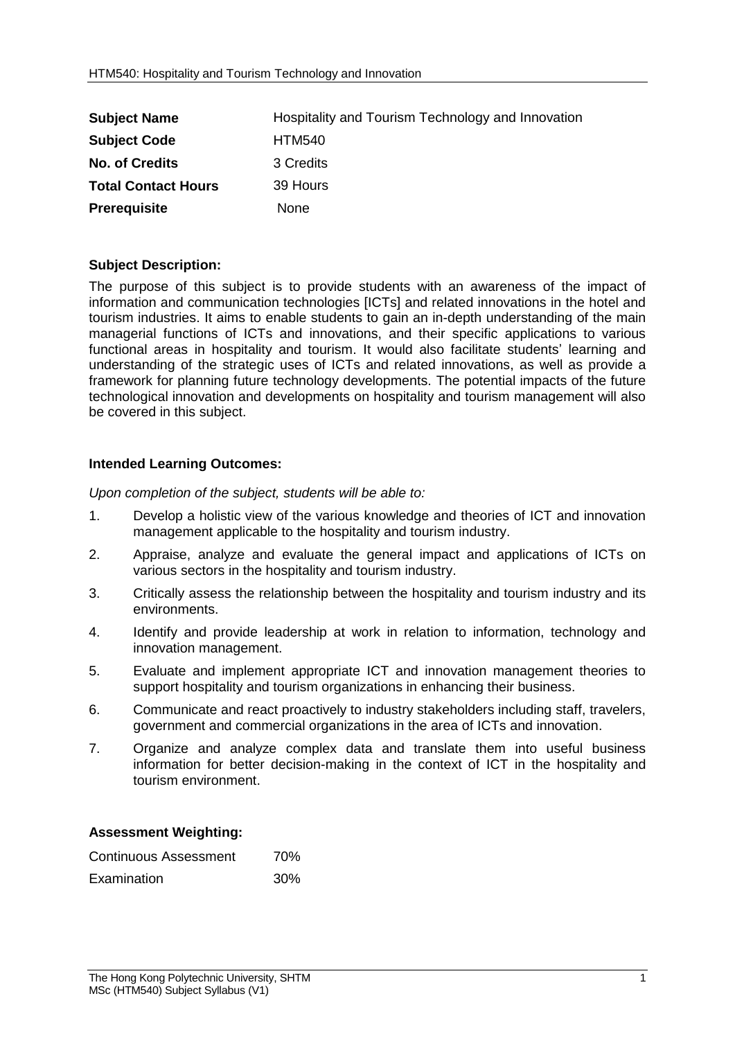| <b>Subject Name</b>        | Hospitality and Tourism Technology and Innovation |
|----------------------------|---------------------------------------------------|
| <b>Subject Code</b>        | <b>HTM540</b>                                     |
| <b>No. of Credits</b>      | 3 Credits                                         |
| <b>Total Contact Hours</b> | 39 Hours                                          |
| <b>Prerequisite</b>        | None                                              |

## **Subject Description:**

The purpose of this subject is to provide students with an awareness of the impact of information and communication technologies [ICTs] and related innovations in the hotel and tourism industries. It aims to enable students to gain an in-depth understanding of the main managerial functions of ICTs and innovations, and their specific applications to various functional areas in hospitality and tourism. It would also facilitate students' learning and understanding of the strategic uses of ICTs and related innovations, as well as provide a framework for planning future technology developments. The potential impacts of the future technological innovation and developments on hospitality and tourism management will also be covered in this subject.

## **Intended Learning Outcomes:**

*Upon completion of the subject, students will be able to:*

- 1. Develop a holistic view of the various knowledge and theories of ICT and innovation management applicable to the hospitality and tourism industry.
- 2. Appraise, analyze and evaluate the general impact and applications of ICTs on various sectors in the hospitality and tourism industry.
- 3. Critically assess the relationship between the hospitality and tourism industry and its environments.
- 4. Identify and provide leadership at work in relation to information, technology and innovation management.
- 5. Evaluate and implement appropriate ICT and innovation management theories to support hospitality and tourism organizations in enhancing their business.
- 6. Communicate and react proactively to industry stakeholders including staff, travelers, government and commercial organizations in the area of ICTs and innovation.
- 7. Organize and analyze complex data and translate them into useful business information for better decision-making in the context of ICT in the hospitality and tourism environment.

## **Assessment Weighting:**

| Continuous Assessment | 70% |
|-----------------------|-----|
| Examination           | 30% |